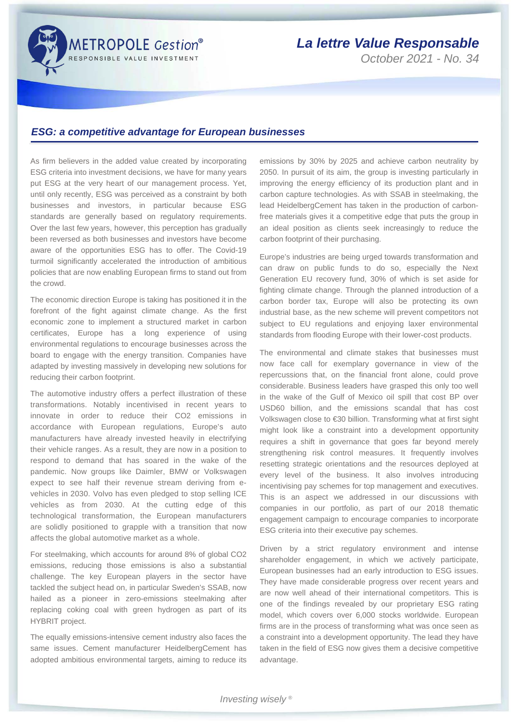

## *La lettre Value Responsable*

*October 2021 - No. 34*

## *ESG: a competitive advantage for European businesses*

As firm believers in the added value created by incorporating ESG criteria into investment decisions, we have for many years put ESG at the very heart of our management process. Yet, until only recently, ESG was perceived as a constraint by both businesses and investors, in particular because ESG standards are generally based on regulatory requirements. Over the last few years, however, this perception has gradually been reversed as both businesses and investors have become aware of the opportunities ESG has to offer. The Covid-19 turmoil significantly accelerated the introduction of ambitious policies that are now enabling European firms to stand out from the crowd.

The economic direction Europe is taking has positioned it in the forefront of the fight against climate change. As the first economic zone to implement a structured market in carbon certificates, Europe has a long experience of using environmental regulations to encourage businesses across the board to engage with the energy transition. Companies have adapted by investing massively in developing new solutions for reducing their carbon footprint.

The automotive industry offers a perfect illustration of these transformations. Notably incentivised in recent years to innovate in order to reduce their CO2 emissions in accordance with European regulations, Europe's auto manufacturers have already invested heavily in electrifying their vehicle ranges. As a result, they are now in a position to respond to demand that has soared in the wake of the pandemic. Now groups like Daimler, BMW or Volkswagen expect to see half their revenue stream deriving from evehicles in 2030. Volvo has even pledged to stop selling ICE vehicles as from 2030. At the cutting edge of this technological transformation, the European manufacturers are solidly positioned to grapple with a transition that now affects the global automotive market as a whole.

For steelmaking, which accounts for around 8% of global CO2 emissions, reducing those emissions is also a substantial challenge. The key European players in the sector have tackled the subject head on, in particular Sweden's SSAB, now hailed as a pioneer in zero-emissions steelmaking after replacing coking coal with green hydrogen as part of its HYBRIT project.

The equally emissions-intensive cement industry also faces the same issues. Cement manufacturer HeidelbergCement has adopted ambitious environmental targets, aiming to reduce its

emissions by 30% by 2025 and achieve carbon neutrality by 2050. In pursuit of its aim, the group is investing particularly in improving the energy efficiency of its production plant and in carbon capture technologies. As with SSAB in steelmaking, the lead HeidelbergCement has taken in the production of carbonfree materials gives it a competitive edge that puts the group in an ideal position as clients seek increasingly to reduce the carbon footprint of their purchasing.

Europe's industries are being urged towards transformation and can draw on public funds to do so, especially the Next Generation EU recovery fund, 30% of which is set aside for fighting climate change. Through the planned introduction of a carbon border tax, Europe will also be protecting its own industrial base, as the new scheme will prevent competitors not subject to EU regulations and enjoying laxer environmental standards from flooding Europe with their lower-cost products.

The environmental and climate stakes that businesses must now face call for exemplary governance in view of the repercussions that, on the financial front alone, could prove considerable. Business leaders have grasped this only too well in the wake of the Gulf of Mexico oil spill that cost BP over USD60 billion, and the emissions scandal that has cost Volkswagen close to €30 billion. Transforming what at first sight might look like a constraint into a development opportunity requires a shift in governance that goes far beyond merely strengthening risk control measures. It frequently involves resetting strategic orientations and the resources deployed at every level of the business. It also involves introducing incentivising pay schemes for top management and executives. This is an aspect we addressed in our discussions with companies in our portfolio, as part of our 2018 thematic engagement campaign to encourage companies to incorporate ESG criteria into their executive pay schemes.

Driven by a strict regulatory environment and intense shareholder engagement, in which we actively participate, European businesses had an early introduction to ESG issues. They have made considerable progress over recent years and are now well ahead of their international competitors. This is one of the findings revealed by our proprietary ESG rating model, which covers over 6,000 stocks worldwide. European firms are in the process of transforming what was once seen as a constraint into a development opportunity. The lead they have taken in the field of ESG now gives them a decisive competitive advantage.